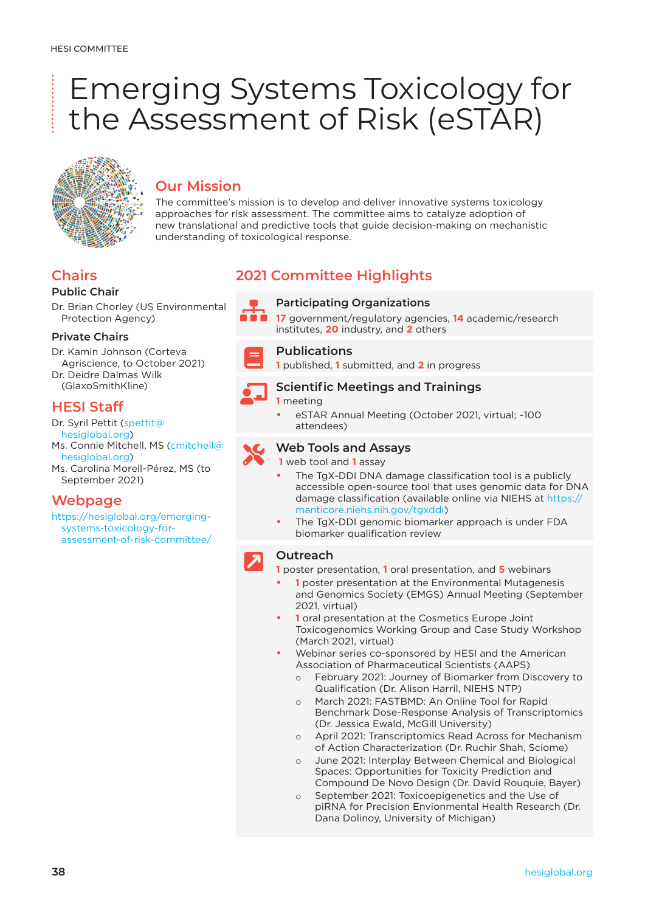# Emerging Systems Toxicology for the Assessment of Risk (eSTAR)



# **Our Mission**

The committee's mission is to develop and deliver innovative systems toxicology approaches for risk assessment. The committee aims to catalyze adoption of new translational and predictive tools that guide decision-making on mechanistic understanding of toxicological response.

# **Chairs**

## **Public Chair**

Dr. Brian Chorley (US Environmental Protection Agency)

## **Private Chairs**

Dr. Kamin Johnson (Corteva Agriscience, to October 2021) Dr. Deidre Dalmas Wilk (GlaxoSmithKline)

# **HESI Staff**

Dr. Syril Pettit [\(spettit@](mailto:spettit@hesiglobal.org) [hesiglobal.org](mailto:spettit@hesiglobal.org)) Ms. Connie Mitchell, MS [\(cmitchell@](mailto:cmitchell@hesiglobal.org) [hesiglobal.org](mailto:cmitchell@hesiglobal.org)) Ms. Carolina Morell-Pérez, MS (to September 2021)

# **Webpage**

[https://hesiglobal.org/emerging](https://hesiglobal.org/emerging-systems-toxicology-for-assessment-of-risk-committee/)[systems-toxicology-for](https://hesiglobal.org/emerging-systems-toxicology-for-assessment-of-risk-committee/)[assessment-of-risk-committee/](https://hesiglobal.org/emerging-systems-toxicology-for-assessment-of-risk-committee/)

# **2021 Committee Highlights**



**Participating Organizations**<br>**17** government/regulatory agencies, **14** academic/research institutes, **20** industry, and **2** others

**Publications**<br> **1 published, 1** submitted, and **2** in progress

# **Scientific Meetings and Trainings**

### **1** meeting

**•** eSTAR Annual Meeting (October 2021, virtual; ~100 attendees)



## **Web Tools and Assays**

**1** web tool and **1** assay

- **•** The TgX-DDI DNA damage classification tool is a publicly accessible open-source tool that uses genomic data for DNA damage classification (available online via NIEHS at [https://](https://manticore.niehs.nih.gov/tgxddi) [manticore.niehs.nih.gov/tgxddi](https://manticore.niehs.nih.gov/tgxddi))
- **•** The TgX-DDI genomic biomarker approach is under FDA biomarker qualification review

# **Outreach**

**1** poster presentation, **1** oral presentation, and **5** webinars

- **• 1** poster presentation at the Environmental Mutagenesis and Genomics Society (EMGS) Annual Meeting (September 2021, virtual)
- **• 1** oral presentation at the Cosmetics Europe Joint Toxicogenomics Working Group and Case Study Workshop (March 2021, virtual)
- **•** Webinar series co-sponsored by HESI and the American Association of Pharmaceutical Scientists (AAPS)
	- o February 2021: Journey of Biomarker from Discovery to Qualification (Dr. Alison Harril, NIEHS NTP)
	- March 2021: FASTBMD: An Online Tool for Rapid Benchmark Dose-Response Analysis of Transcriptomics (Dr. Jessica Ewald, McGill University)
	- o April 2021: Transcriptomics Read Across for Mechanism of Action Characterization (Dr. Ruchir Shah, Sciome)
	- o June 2021: Interplay Between Chemical and Biological Spaces: Opportunities for Toxicity Prediction and Compound De Novo Design (Dr. David Rouquie, Bayer)
	- September 2021: Toxicoepigenetics and the Use of piRNA for Precision Envionmental Health Research (Dr. Dana Dolinoy, University of Michigan)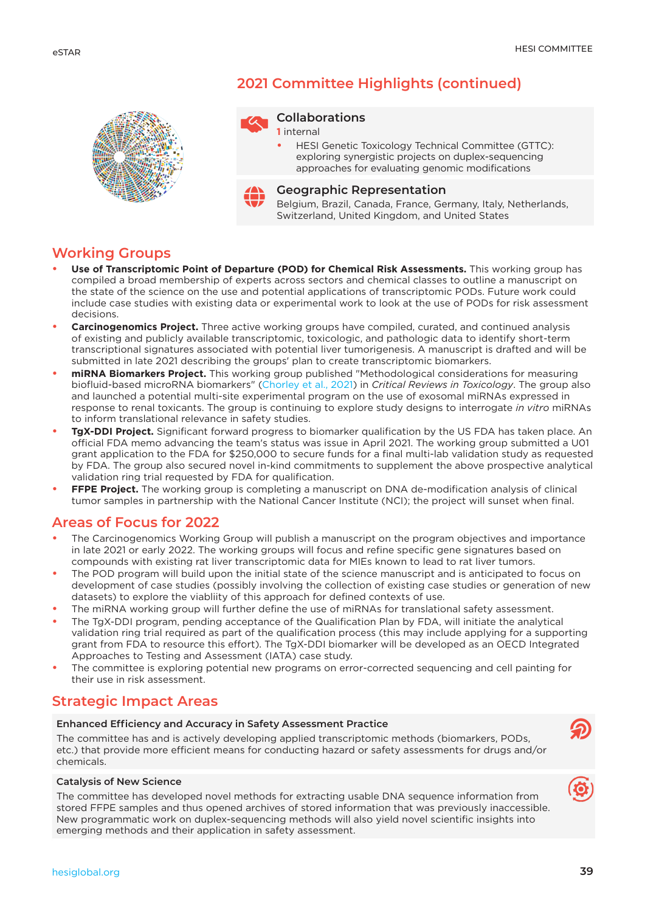

# **2021 Committee Highlights (continued)**



#### **1** internal

**•** HESI Genetic Toxicology Technical Committee (GTTC): exploring synergistic projects on duplex-sequencing approaches for evaluating genomic modifications



#### **Geographic Representation**

Belgium, Brazil, Canada, France, Germany, Italy, Netherlands, Switzerland, United Kingdom, and United States

# **Working Groups**

- **• Use of Transcriptomic Point of Departure (POD) for Chemical Risk Assessments.** This working group has compiled a broad membership of experts across sectors and chemical classes to outline a manuscript on the state of the science on the use and potential applications of transcriptomic PODs. Future work could include case studies with existing data or experimental work to look at the use of PODs for risk assessment decisions.
- **• Carcinogenomics Project.** Three active working groups have compiled, curated, and continued analysis of existing and publicly available transcriptomic, toxicologic, and pathologic data to identify short-term transcriptional signatures associated with potential liver tumorigenesis. A manuscript is drafted and will be submitted in late 2021 describing the groups' plan to create transcriptomic biomarkers.
- **• miRNA Biomarkers Project.** This working group published "Methodological considerations for measuring biofluid-based microRNA biomarkers" [\(Chorley et al., 2021\)](https://www.tandfonline.com/doi/full/10.1080/10408444.2021.1907530) in *Critical Reviews in Toxicology*. The group also and launched a potential multi-site experimental program on the use of exosomal miRNAs expressed in response to renal toxicants. The group is continuing to explore study designs to interrogate *in vitro* miRNAs to inform translational relevance in safety studies.
- **• TgX-DDI Project.** Significant forward progress to biomarker qualification by the US FDA has taken place. An official FDA memo advancing the team's status was issue in April 2021. The working group submitted a U01 grant application to the FDA for \$250,000 to secure funds for a final multi-lab validation study as requested by FDA. The group also secured novel in-kind commitments to supplement the above prospective analytical validation ring trial requested by FDA for qualification.
- **• FFPE Project.** The working group is completing a manuscript on DNA de-modification analysis of clinical tumor samples in partnership with the National Cancer Institute (NCI); the project will sunset when final.

# **Areas of Focus for 2022**

- **•** The Carcinogenomics Working Group will publish a manuscript on the program objectives and importance in late 2021 or early 2022. The working groups will focus and refine specific gene signatures based on compounds with existing rat liver transcriptomic data for MIEs known to lead to rat liver tumors.
- **•** The POD program will build upon the initial state of the science manuscript and is anticipated to focus on development of case studies (possibly involving the collection of existing case studies or generation of new datasets) to explore the viabliity of this approach for defined contexts of use.
- **•** The miRNA working group will further define the use of miRNAs for translational safety assessment.
- **•** The TgX-DDI program, pending acceptance of the Qualification Plan by FDA, will initiate the analytical validation ring trial required as part of the qualification process (this may include applying for a supporting grant from FDA to resource this effort). The TgX-DDI biomarker will be developed as an OECD Integrated Approaches to Testing and Assessment (IATA) case study.
- **•** The committee is exploring potential new programs on error-corrected sequencing and cell painting for their use in risk assessment.

# **Strategic Impact Areas**

#### **Enhanced Efficiency and Accuracy in Safety Assessment Practice**

The committee has and is actively developing applied transcriptomic methods (biomarkers, PODs, etc.) that provide more efficient means for conducting hazard or safety assessments for drugs and/or chemicals.

#### **Catalysis of New Science**

The committee has developed novel methods for extracting usable DNA sequence information from stored FFPE samples and thus opened archives of stored information that was previously inaccessible. New programmatic work on duplex-sequencing methods will also yield novel scientific insights into emerging methods and their application in safety assessment.

 $\circledR$